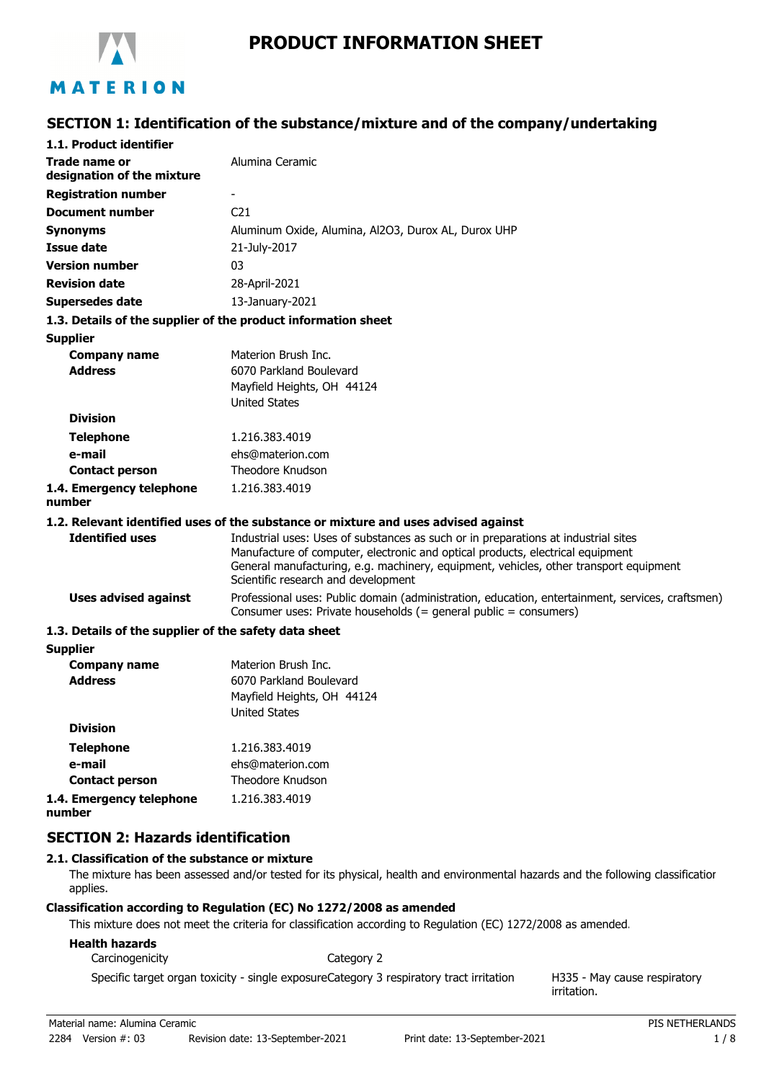

# MATERION

#### **SECTION 1: Identification of the substance/mixture and of the company/undertaking**

| 1.1. Product identifier                               |                                                                                                                                                                                                                                                                                                      |
|-------------------------------------------------------|------------------------------------------------------------------------------------------------------------------------------------------------------------------------------------------------------------------------------------------------------------------------------------------------------|
| Trade name or<br>designation of the mixture           | Alumina Ceramic                                                                                                                                                                                                                                                                                      |
| <b>Registration number</b>                            |                                                                                                                                                                                                                                                                                                      |
| <b>Document number</b>                                | C <sub>21</sub>                                                                                                                                                                                                                                                                                      |
| <b>Synonyms</b>                                       | Aluminum Oxide, Alumina, Al2O3, Durox AL, Durox UHP                                                                                                                                                                                                                                                  |
| <b>Issue date</b>                                     | 21-July-2017                                                                                                                                                                                                                                                                                         |
| <b>Version number</b>                                 | 03                                                                                                                                                                                                                                                                                                   |
| <b>Revision date</b>                                  | 28-April-2021                                                                                                                                                                                                                                                                                        |
| <b>Supersedes date</b>                                | 13-January-2021                                                                                                                                                                                                                                                                                      |
|                                                       | 1.3. Details of the supplier of the product information sheet                                                                                                                                                                                                                                        |
| <b>Supplier</b>                                       |                                                                                                                                                                                                                                                                                                      |
| <b>Company name</b>                                   | Materion Brush Inc.                                                                                                                                                                                                                                                                                  |
| <b>Address</b>                                        | 6070 Parkland Boulevard                                                                                                                                                                                                                                                                              |
|                                                       | Mayfield Heights, OH 44124                                                                                                                                                                                                                                                                           |
|                                                       | <b>United States</b>                                                                                                                                                                                                                                                                                 |
| <b>Division</b>                                       |                                                                                                                                                                                                                                                                                                      |
| <b>Telephone</b>                                      | 1.216.383.4019                                                                                                                                                                                                                                                                                       |
| e-mail                                                | ehs@materion.com                                                                                                                                                                                                                                                                                     |
| <b>Contact person</b>                                 | Theodore Knudson                                                                                                                                                                                                                                                                                     |
| 1.4. Emergency telephone<br>number                    | 1.216.383.4019                                                                                                                                                                                                                                                                                       |
|                                                       | 1.2. Relevant identified uses of the substance or mixture and uses advised against                                                                                                                                                                                                                   |
| <b>Identified uses</b>                                | Industrial uses: Uses of substances as such or in preparations at industrial sites<br>Manufacture of computer, electronic and optical products, electrical equipment<br>General manufacturing, e.g. machinery, equipment, vehicles, other transport equipment<br>Scientific research and development |
| <b>Uses advised against</b>                           | Professional uses: Public domain (administration, education, entertainment, services, craftsmen)<br>Consumer uses: Private households (= general public = consumers)                                                                                                                                 |
| 1.3. Details of the supplier of the safety data sheet |                                                                                                                                                                                                                                                                                                      |
| <b>Supplier</b>                                       |                                                                                                                                                                                                                                                                                                      |
| <b>Company name</b>                                   | Materion Brush Inc.                                                                                                                                                                                                                                                                                  |
| <b>Address</b>                                        | 6070 Parkland Boulevard                                                                                                                                                                                                                                                                              |
|                                                       | Mayfield Heights, OH 44124                                                                                                                                                                                                                                                                           |
|                                                       | <b>United States</b>                                                                                                                                                                                                                                                                                 |
| <b>Division</b>                                       |                                                                                                                                                                                                                                                                                                      |

**Telephone** 1.216.383.4019 **e-mail Contact person** ehs@materion.com Theodore Knudson **1.4. Emergency telephone** 1.216.383.4019

**number**

**SECTION 2: Hazards identification**

#### **2.1. Classification of the substance or mixture**

The mixture has been assessed and/or tested for its physical, health and environmental hazards and the following classification applies.

#### **Classification according to Regulation (EC) No 1272/2008 as amended**

This mixture does not meet the criteria for classification according to Regulation (EC) 1272/2008 as amended.

#### **Health hazards**

Carcinogenicity **Category 2** 

Specific target organ toxicity - single exposureCategory 3 respiratory tract irritation

H335 - May cause respiratory irritation.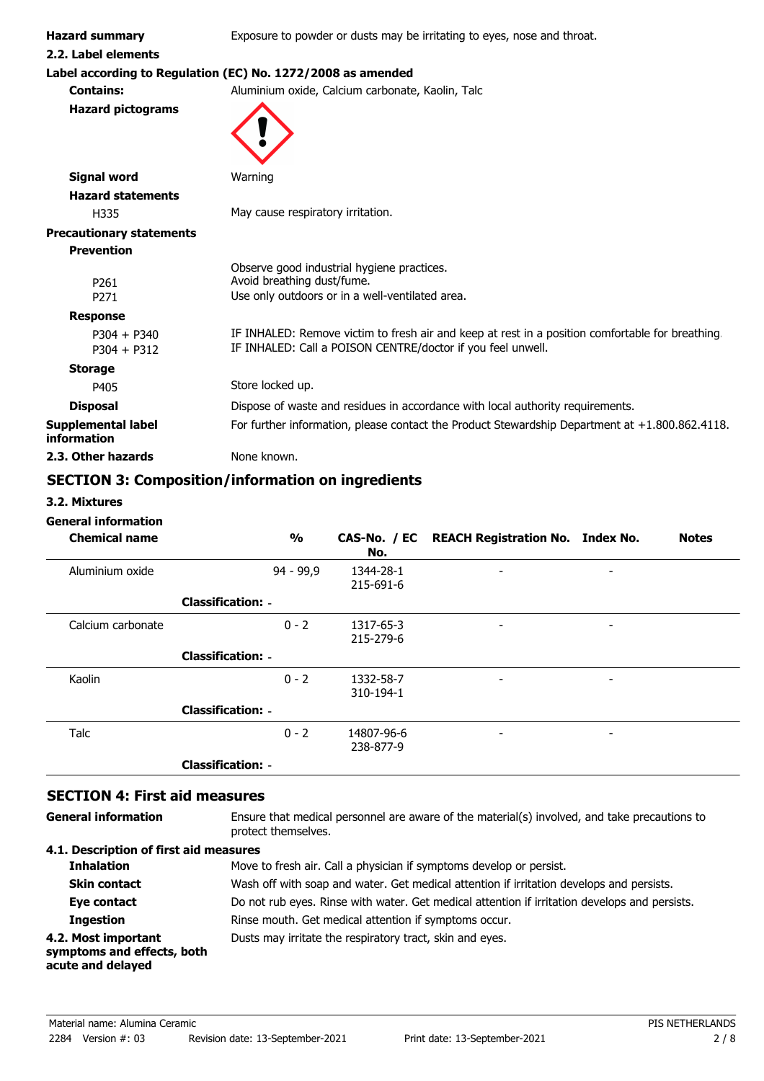**Hazard summary** Exposure to powder or dusts may be irritating to eyes, nose and throat.

**2.2. Label elements**

## **Label according to Regulation (EC) No. 1272/2008 as amended**

**Contains:** Aluminium oxide, Calcium carbonate, Kaolin, Talc

**Hazard pictograms**



| <b>Signal word</b>                | Warning                                                                                                                                                         |
|-----------------------------------|-----------------------------------------------------------------------------------------------------------------------------------------------------------------|
| <b>Hazard statements</b>          |                                                                                                                                                                 |
| H335                              | May cause respiratory irritation.                                                                                                                               |
| <b>Precautionary statements</b>   |                                                                                                                                                                 |
| <b>Prevention</b>                 |                                                                                                                                                                 |
| P <sub>261</sub>                  | Observe good industrial hygiene practices.<br>Avoid breathing dust/fume.                                                                                        |
| P <sub>271</sub>                  | Use only outdoors or in a well-ventilated area.                                                                                                                 |
| <b>Response</b>                   |                                                                                                                                                                 |
| $P304 + P340$<br>$P304 + P312$    | IF INHALED: Remove victim to fresh air and keep at rest in a position comfortable for breathing.<br>IF INHALED: Call a POISON CENTRE/doctor if you feel unwell. |
| <b>Storage</b>                    |                                                                                                                                                                 |
| P405                              | Store locked up.                                                                                                                                                |
| <b>Disposal</b>                   | Dispose of waste and residues in accordance with local authority requirements.                                                                                  |
| Supplemental label<br>information | For further information, please contact the Product Stewardship Department at $+1.800.862.4118$ .                                                               |
| 2.3. Other hazards                | None known.                                                                                                                                                     |

## **SECTION 3: Composition/information on ingredients**

**3.2. Mixtures**

#### **General information**

| <b>Chemical name</b> |                          | $\frac{1}{2}$ | No.                     | CAS-No. / EC REACH Registration No. Index No. |                          | <b>Notes</b> |
|----------------------|--------------------------|---------------|-------------------------|-----------------------------------------------|--------------------------|--------------|
| Aluminium oxide      |                          | 94 - 99,9     | 1344-28-1<br>215-691-6  | $\overline{\phantom{a}}$                      | $\overline{\phantom{a}}$ |              |
|                      | <b>Classification: -</b> |               |                         |                                               |                          |              |
| Calcium carbonate    |                          | $0 - 2$       | 1317-65-3<br>215-279-6  | -                                             | -                        |              |
|                      | <b>Classification: -</b> |               |                         |                                               |                          |              |
| Kaolin               |                          | $0 - 2$       | 1332-58-7<br>310-194-1  | $\overline{\phantom{a}}$                      | ٠                        |              |
|                      | <b>Classification: -</b> |               |                         |                                               |                          |              |
| Talc                 |                          | $0 - 2$       | 14807-96-6<br>238-877-9 | -                                             |                          |              |
|                      | <b>Classification: -</b> |               |                         |                                               |                          |              |

#### **SECTION 4: First aid measures**

| General information |
|---------------------|
|                     |

Ensure that medical personnel are aware of the material(s) involved, and take precautions to protect themselves.

#### **4.1. Description of first aid measures**

| +.1. Description or mot and measures                                   |                                                                                               |
|------------------------------------------------------------------------|-----------------------------------------------------------------------------------------------|
| <b>Inhalation</b>                                                      | Move to fresh air. Call a physician if symptoms develop or persist.                           |
| <b>Skin contact</b>                                                    | Wash off with soap and water. Get medical attention if irritation develops and persists.      |
| Eye contact                                                            | Do not rub eyes. Rinse with water. Get medical attention if irritation develops and persists. |
| <b>Ingestion</b>                                                       | Rinse mouth. Get medical attention if symptoms occur.                                         |
| 4.2. Most important<br>symptoms and effects, both<br>acute and delayed | Dusts may irritate the respiratory tract, skin and eyes.                                      |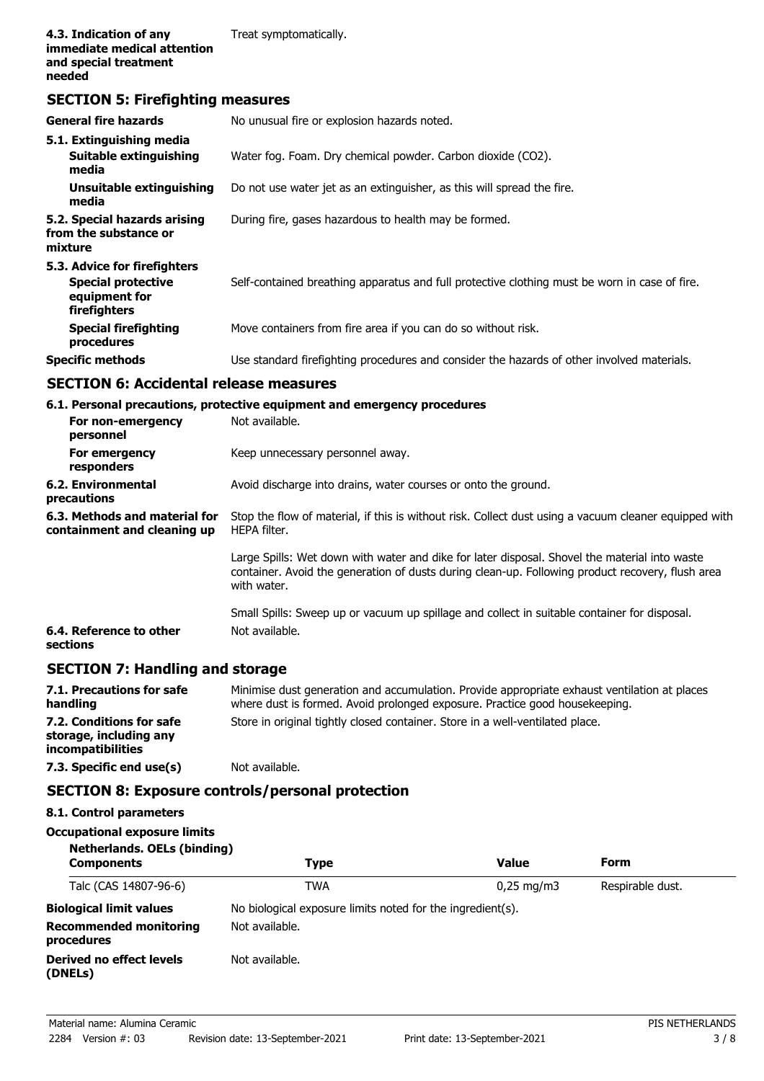#### **SECTION 5: Firefighting measures**

| <b>General fire hazards</b>                                                                | No unusual fire or explosion hazards noted.                                                   |
|--------------------------------------------------------------------------------------------|-----------------------------------------------------------------------------------------------|
| 5.1. Extinguishing media<br><b>Suitable extinguishing</b><br>media                         | Water fog. Foam. Dry chemical powder. Carbon dioxide (CO2).                                   |
| Unsuitable extinguishing<br>media                                                          | Do not use water jet as an extinguisher, as this will spread the fire.                        |
| 5.2. Special hazards arising<br>from the substance or<br>mixture                           | During fire, gases hazardous to health may be formed.                                         |
| 5.3. Advice for firefighters<br><b>Special protective</b><br>equipment for<br>firefighters | Self-contained breathing apparatus and full protective clothing must be worn in case of fire. |
| <b>Special firefighting</b><br>procedures                                                  | Move containers from fire area if you can do so without risk.                                 |
| <b>Specific methods</b>                                                                    | Use standard firefighting procedures and consider the hazards of other involved materials.    |

#### **SECTION 6: Accidental release measures**

**6.1. Personal precautions, protective equipment and emergency procedures**

| For non-emergency<br>personnel                               | Not available.                                                                                                                                                                                                   |
|--------------------------------------------------------------|------------------------------------------------------------------------------------------------------------------------------------------------------------------------------------------------------------------|
| For emergency<br>responders                                  | Keep unnecessary personnel away.                                                                                                                                                                                 |
| 6.2. Environmental<br>precautions                            | Avoid discharge into drains, water courses or onto the ground.                                                                                                                                                   |
| 6.3. Methods and material for<br>containment and cleaning up | Stop the flow of material, if this is without risk. Collect dust using a vacuum cleaner equipped with<br>HEPA filter.                                                                                            |
|                                                              | Large Spills: Wet down with water and dike for later disposal. Shovel the material into waste<br>container. Avoid the generation of dusts during clean-up. Following product recovery, flush area<br>with water. |
| 6.4. Reference to other<br>sections                          | Small Spills: Sweep up or vacuum up spillage and collect in suitable container for disposal.<br>Not available.                                                                                                   |

## **SECTION 7: Handling and storage**

| 7.1. Precautions for safe<br>handling                                          | Minimise dust generation and accumulation. Provide appropriate exhaust ventilation at places<br>where dust is formed. Avoid prolonged exposure. Practice good housekeeping. |
|--------------------------------------------------------------------------------|-----------------------------------------------------------------------------------------------------------------------------------------------------------------------------|
| 7.2. Conditions for safe<br>storage, including any<br><i>incompatibilities</i> | Store in original tightly closed container. Store in a well-ventilated place.                                                                                               |
| 7.3. Specific end use(s)                                                       | Not available.                                                                                                                                                              |

## **SECTION 8: Exposure controls/personal protection**

| 8.1. Control parameters                                                   |                                                            |                         |                  |  |
|---------------------------------------------------------------------------|------------------------------------------------------------|-------------------------|------------------|--|
| <b>Occupational exposure limits</b><br><b>Netherlands. OELs (binding)</b> |                                                            |                         |                  |  |
| <b>Components</b>                                                         | Type                                                       | <b>Value</b>            | <b>Form</b>      |  |
| Talc (CAS 14807-96-6)                                                     | <b>TWA</b>                                                 | $0.25 \,\mathrm{mq/m3}$ | Respirable dust. |  |
| <b>Biological limit values</b>                                            | No biological exposure limits noted for the ingredient(s). |                         |                  |  |
| <b>Recommended monitoring</b><br>procedures                               | Not available.                                             |                         |                  |  |
| Derived no effect levels<br>(DNELs)                                       | Not available.                                             |                         |                  |  |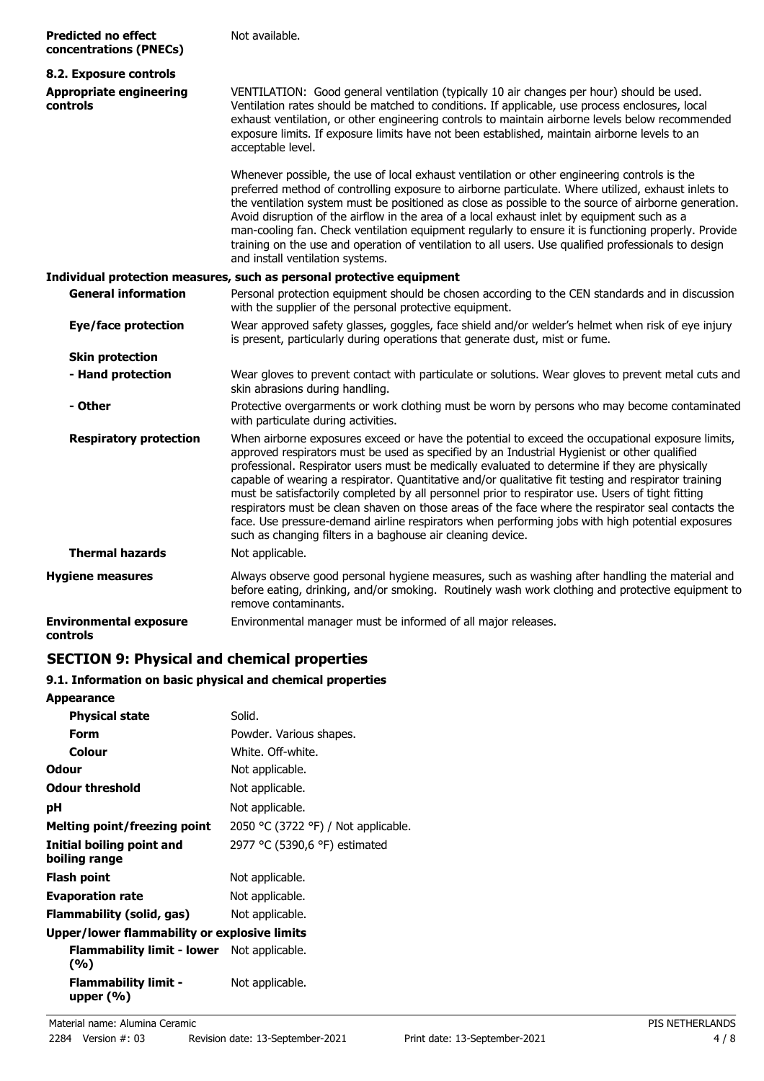| <b>Predicted no effect</b><br>concentrations (PNECs) | Not available.                                                                                                                                                                                                                                                                                                                                                                                                                                                                                                                                                                                                                                                                                                                                                                           |
|------------------------------------------------------|------------------------------------------------------------------------------------------------------------------------------------------------------------------------------------------------------------------------------------------------------------------------------------------------------------------------------------------------------------------------------------------------------------------------------------------------------------------------------------------------------------------------------------------------------------------------------------------------------------------------------------------------------------------------------------------------------------------------------------------------------------------------------------------|
| 8.2. Exposure controls                               |                                                                                                                                                                                                                                                                                                                                                                                                                                                                                                                                                                                                                                                                                                                                                                                          |
| <b>Appropriate engineering</b><br>controls           | VENTILATION: Good general ventilation (typically 10 air changes per hour) should be used.<br>Ventilation rates should be matched to conditions. If applicable, use process enclosures, local<br>exhaust ventilation, or other engineering controls to maintain airborne levels below recommended<br>exposure limits. If exposure limits have not been established, maintain airborne levels to an<br>acceptable level.                                                                                                                                                                                                                                                                                                                                                                   |
|                                                      | Whenever possible, the use of local exhaust ventilation or other engineering controls is the<br>preferred method of controlling exposure to airborne particulate. Where utilized, exhaust inlets to<br>the ventilation system must be positioned as close as possible to the source of airborne generation.<br>Avoid disruption of the airflow in the area of a local exhaust inlet by equipment such as a<br>man-cooling fan. Check ventilation equipment regularly to ensure it is functioning properly. Provide<br>training on the use and operation of ventilation to all users. Use qualified professionals to design<br>and install ventilation systems.                                                                                                                           |
|                                                      | Individual protection measures, such as personal protective equipment                                                                                                                                                                                                                                                                                                                                                                                                                                                                                                                                                                                                                                                                                                                    |
| <b>General information</b>                           | Personal protection equipment should be chosen according to the CEN standards and in discussion<br>with the supplier of the personal protective equipment.                                                                                                                                                                                                                                                                                                                                                                                                                                                                                                                                                                                                                               |
| Eye/face protection                                  | Wear approved safety glasses, goggles, face shield and/or welder's helmet when risk of eye injury<br>is present, particularly during operations that generate dust, mist or fume.                                                                                                                                                                                                                                                                                                                                                                                                                                                                                                                                                                                                        |
| <b>Skin protection</b>                               |                                                                                                                                                                                                                                                                                                                                                                                                                                                                                                                                                                                                                                                                                                                                                                                          |
| - Hand protection                                    | Wear gloves to prevent contact with particulate or solutions. Wear gloves to prevent metal cuts and<br>skin abrasions during handling.                                                                                                                                                                                                                                                                                                                                                                                                                                                                                                                                                                                                                                                   |
| - Other                                              | Protective overgarments or work clothing must be worn by persons who may become contaminated<br>with particulate during activities.                                                                                                                                                                                                                                                                                                                                                                                                                                                                                                                                                                                                                                                      |
| <b>Respiratory protection</b>                        | When airborne exposures exceed or have the potential to exceed the occupational exposure limits,<br>approved respirators must be used as specified by an Industrial Hygienist or other qualified<br>professional. Respirator users must be medically evaluated to determine if they are physically<br>capable of wearing a respirator. Quantitative and/or qualitative fit testing and respirator training<br>must be satisfactorily completed by all personnel prior to respirator use. Users of tight fitting<br>respirators must be clean shaven on those areas of the face where the respirator seal contacts the<br>face. Use pressure-demand airline respirators when performing jobs with high potential exposures<br>such as changing filters in a baghouse air cleaning device. |
| <b>Thermal hazards</b>                               | Not applicable.                                                                                                                                                                                                                                                                                                                                                                                                                                                                                                                                                                                                                                                                                                                                                                          |
| <b>Hygiene measures</b>                              | Always observe good personal hygiene measures, such as washing after handling the material and<br>before eating, drinking, and/or smoking. Routinely wash work clothing and protective equipment to<br>remove contaminants.                                                                                                                                                                                                                                                                                                                                                                                                                                                                                                                                                              |
| <b>Environmental exposure</b><br>controls            | Environmental manager must be informed of all major releases.                                                                                                                                                                                                                                                                                                                                                                                                                                                                                                                                                                                                                                                                                                                            |

## **SECTION 9: Physical and chemical properties**

## **9.1. Information on basic physical and chemical properties**

| <b>Appearance</b>                                        |                                     |
|----------------------------------------------------------|-------------------------------------|
| <b>Physical state</b>                                    | Solid.                              |
| Form                                                     | Powder. Various shapes.             |
| <b>Colour</b>                                            | White, Off-white,                   |
| Odour                                                    | Not applicable.                     |
| <b>Odour threshold</b>                                   | Not applicable.                     |
| рH                                                       | Not applicable.                     |
| Melting point/freezing point                             | 2050 °C (3722 °F) / Not applicable. |
| Initial boiling point and<br>boiling range               | 2977 °C (5390,6 °F) estimated       |
| <b>Flash point</b>                                       | Not applicable.                     |
| <b>Evaporation rate</b>                                  | Not applicable.                     |
| Flammability (solid, gas)                                | Not applicable.                     |
| Upper/lower flammability or explosive limits             |                                     |
| <b>Flammability limit - lower</b> Not applicable.<br>(%) |                                     |
| <b>Flammability limit -</b><br>upper $(%$                | Not applicable.                     |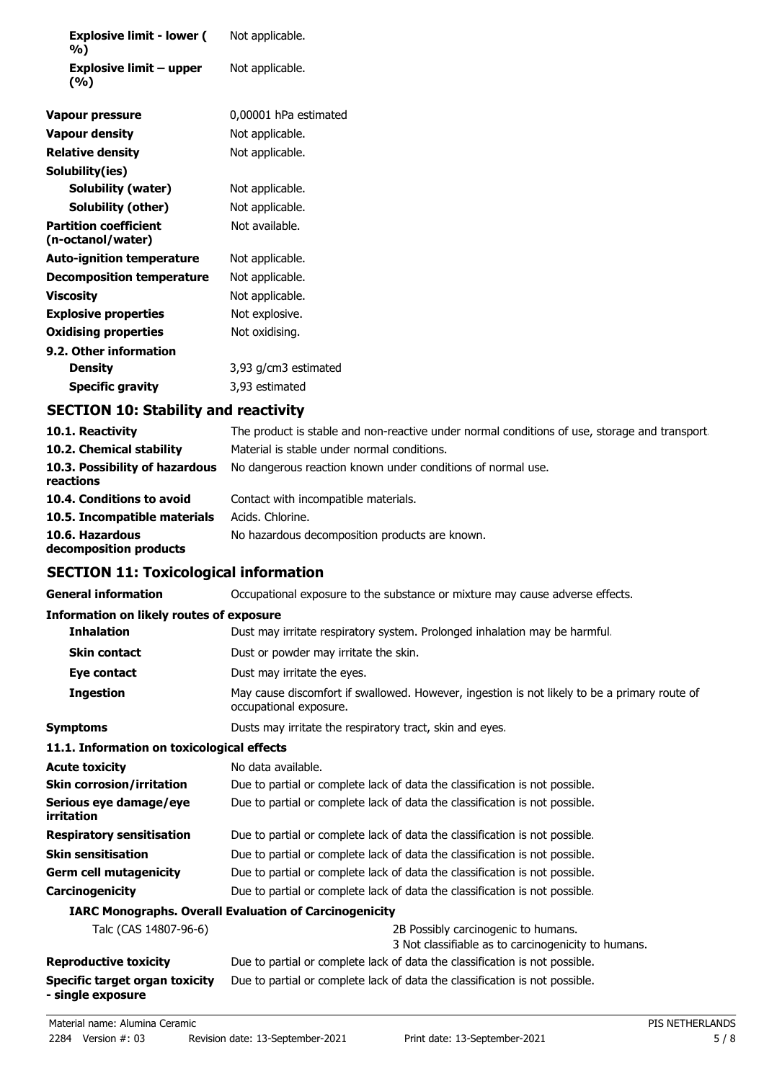| <b>Explosive limit - lower (</b><br>%)            | Not applicable.       |
|---------------------------------------------------|-----------------------|
| Explosive limit $-$ upper<br>(%)                  | Not applicable.       |
| <b>Vapour pressure</b>                            | 0,00001 hPa estimated |
| <b>Vapour density</b>                             | Not applicable.       |
| <b>Relative density</b>                           | Not applicable.       |
| Solubility(ies)                                   |                       |
| <b>Solubility (water)</b>                         | Not applicable.       |
| Solubility (other)                                | Not applicable.       |
| <b>Partition coefficient</b><br>(n-octanol/water) | Not available.        |
| <b>Auto-ignition temperature</b>                  | Not applicable.       |
| <b>Decomposition temperature</b>                  | Not applicable.       |
| <b>Viscosity</b>                                  | Not applicable.       |
| <b>Explosive properties</b>                       | Not explosive.        |
| <b>Oxidising properties</b>                       | Not oxidising.        |
| 9.2. Other information                            |                       |
| <b>Density</b>                                    | 3,93 g/cm3 estimated  |
| <b>Specific gravity</b>                           | 3,93 estimated        |
| <b>SECTION 10: Stability and reactivity</b>       |                       |

| 10.1. Reactivity                            | The product is stable and non-reactive under normal conditions of use, storage and transport. |
|---------------------------------------------|-----------------------------------------------------------------------------------------------|
| 10.2. Chemical stability                    | Material is stable under normal conditions.                                                   |
| 10.3. Possibility of hazardous<br>reactions | No dangerous reaction known under conditions of normal use.                                   |
| 10.4. Conditions to avoid                   | Contact with incompatible materials.                                                          |
| 10.5. Incompatible materials                | Acids. Chlorine.                                                                              |
| 10.6. Hazardous<br>decomposition products   | No hazardous decomposition products are known.                                                |

## **SECTION 11: Toxicological information**

| <b>General information</b>                                    | Occupational exposure to the substance or mixture may cause adverse effects.                                           |
|---------------------------------------------------------------|------------------------------------------------------------------------------------------------------------------------|
| <b>Information on likely routes of exposure</b>               |                                                                                                                        |
| <b>Inhalation</b>                                             | Dust may irritate respiratory system. Prolonged inhalation may be harmful.                                             |
| <b>Skin contact</b>                                           | Dust or powder may irritate the skin.                                                                                  |
| Eye contact                                                   | Dust may irritate the eyes.                                                                                            |
| <b>Ingestion</b>                                              | May cause discomfort if swallowed. However, ingestion is not likely to be a primary route of<br>occupational exposure. |
| <b>Symptoms</b>                                               | Dusts may irritate the respiratory tract, skin and eyes.                                                               |
| 11.1. Information on toxicological effects                    |                                                                                                                        |
| <b>Acute toxicity</b>                                         | No data available.                                                                                                     |
| <b>Skin corrosion/irritation</b>                              | Due to partial or complete lack of data the classification is not possible.                                            |
| Serious eye damage/eye<br>irritation                          | Due to partial or complete lack of data the classification is not possible.                                            |
| <b>Respiratory sensitisation</b>                              | Due to partial or complete lack of data the classification is not possible.                                            |
| <b>Skin sensitisation</b>                                     | Due to partial or complete lack of data the classification is not possible.                                            |
| <b>Germ cell mutagenicity</b>                                 | Due to partial or complete lack of data the classification is not possible.                                            |
| Carcinogenicity                                               | Due to partial or complete lack of data the classification is not possible.                                            |
| <b>IARC Monographs. Overall Evaluation of Carcinogenicity</b> |                                                                                                                        |
| Talc (CAS 14807-96-6)                                         | 2B Possibly carcinogenic to humans.<br>3 Not classifiable as to carcinogenicity to humans.                             |
| <b>Reproductive toxicity</b>                                  | Due to partial or complete lack of data the classification is not possible.                                            |
| Specific target organ toxicity<br>- single exposure           | Due to partial or complete lack of data the classification is not possible.                                            |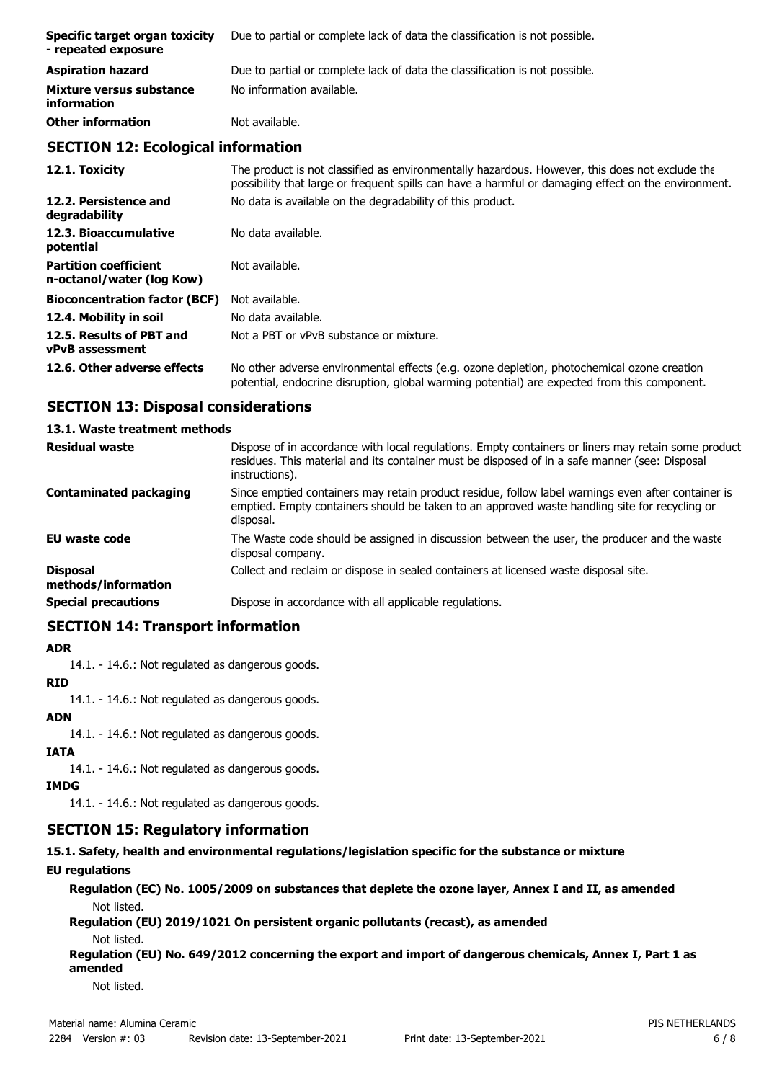| Specific target organ toxicity<br>- repeated exposure | Due to partial or complete lack of data the classification is not possible. |
|-------------------------------------------------------|-----------------------------------------------------------------------------|
| <b>Aspiration hazard</b>                              | Due to partial or complete lack of data the classification is not possible. |
| Mixture versus substance<br>information               | No information available.                                                   |
| <b>Other information</b>                              | Not available.                                                              |

## **SECTION 12: Ecological information**

| 12.1. Toxicity                                            | The product is not classified as environmentally hazardous. However, this does not exclude the<br>possibility that large or frequent spills can have a harmful or damaging effect on the environment. |
|-----------------------------------------------------------|-------------------------------------------------------------------------------------------------------------------------------------------------------------------------------------------------------|
| 12.2. Persistence and<br>degradability                    | No data is available on the degradability of this product.                                                                                                                                            |
| 12.3. Bioaccumulative<br>potential                        | No data available.                                                                                                                                                                                    |
| <b>Partition coefficient</b><br>n-octanol/water (log Kow) | Not available.                                                                                                                                                                                        |
| <b>Bioconcentration factor (BCF)</b>                      | Not available.                                                                                                                                                                                        |
| 12.4. Mobility in soil                                    | No data available.                                                                                                                                                                                    |
| 12.5. Results of PBT and<br><b>vPvB</b> assessment        | Not a PBT or vPvB substance or mixture.                                                                                                                                                               |
| 12.6. Other adverse effects                               | No other adverse environmental effects (e.g. ozone depletion, photochemical ozone creation<br>potential, endocrine disruption, global warming potential) are expected from this component.            |

## **SECTION 13: Disposal considerations**

#### **13.1. Waste treatment methods**

| <b>Residual waste</b>                  | Dispose of in accordance with local regulations. Empty containers or liners may retain some product<br>residues. This material and its container must be disposed of in a safe manner (see: Disposal<br>instructions). |
|----------------------------------------|------------------------------------------------------------------------------------------------------------------------------------------------------------------------------------------------------------------------|
| <b>Contaminated packaging</b>          | Since emptied containers may retain product residue, follow label warnings even after container is<br>emptied. Empty containers should be taken to an approved waste handling site for recycling or<br>disposal.       |
| <b>EU waste code</b>                   | The Waste code should be assigned in discussion between the user, the producer and the waste<br>disposal company.                                                                                                      |
| <b>Disposal</b><br>methods/information | Collect and reclaim or dispose in sealed containers at licensed waste disposal site.                                                                                                                                   |
| <b>Special precautions</b>             | Dispose in accordance with all applicable regulations.                                                                                                                                                                 |

#### **SECTION 14: Transport information**

#### **ADR**

14.1. - 14.6.: Not regulated as dangerous goods.

#### **RID**

14.1. - 14.6.: Not regulated as dangerous goods.

#### **ADN**

14.1. - 14.6.: Not regulated as dangerous goods.

#### **IATA**

14.1. - 14.6.: Not regulated as dangerous goods.

#### **IMDG**

14.1. - 14.6.: Not regulated as dangerous goods.

## **SECTION 15: Regulatory information**

## **15.1. Safety, health and environmental regulations/legislation specific for the substance or mixture**

## **EU regulations**

**Regulation (EC) No. 1005/2009 on substances that deplete the ozone layer, Annex I and II, as amended** Not listed.

**Regulation (EU) 2019/1021 On persistent organic pollutants (recast), as amended**

Not listed.

**Regulation (EU) No. 649/2012 concerning the export and import of dangerous chemicals, Annex I, Part 1 as amended**

Not listed.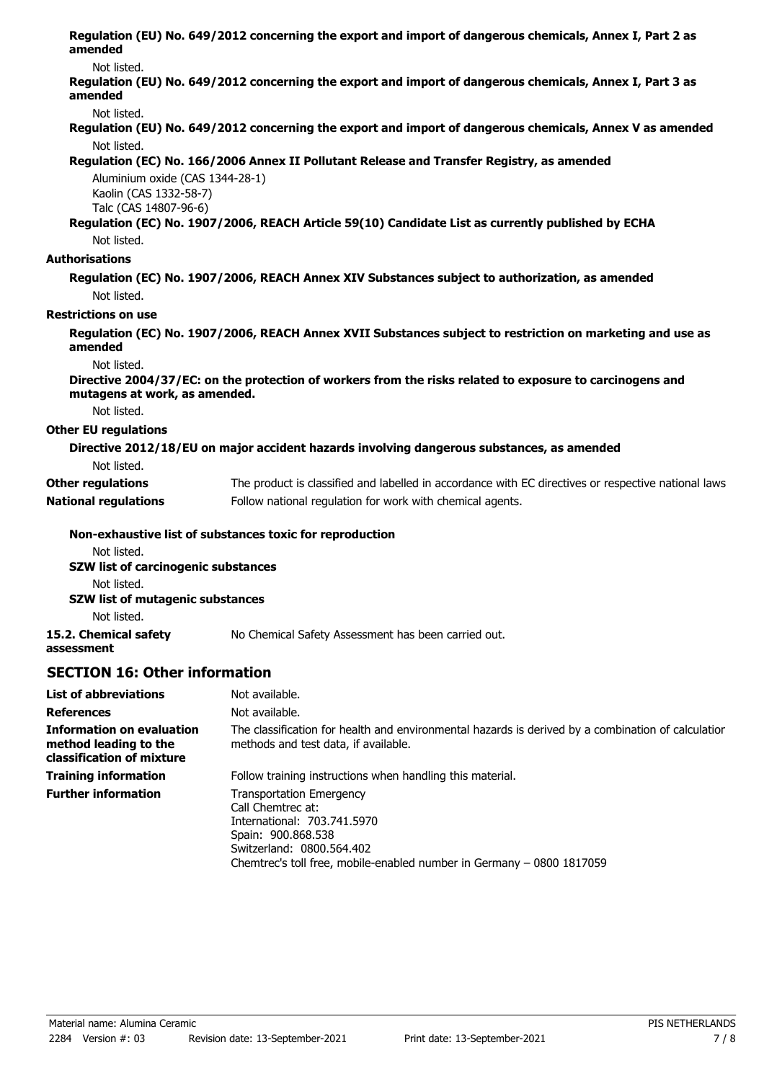| amended                                                   | Regulation (EU) No. 649/2012 concerning the export and import of dangerous chemicals, Annex I, Part 2 as  |
|-----------------------------------------------------------|-----------------------------------------------------------------------------------------------------------|
| Not listed.                                               |                                                                                                           |
| amended                                                   | Regulation (EU) No. 649/2012 concerning the export and import of dangerous chemicals, Annex I, Part 3 as  |
| Not listed.                                               |                                                                                                           |
|                                                           | Regulation (EU) No. 649/2012 concerning the export and import of dangerous chemicals, Annex V as amended  |
| Not listed.                                               |                                                                                                           |
|                                                           | Regulation (EC) No. 166/2006 Annex II Pollutant Release and Transfer Registry, as amended                 |
| Aluminium oxide (CAS 1344-28-1)<br>Kaolin (CAS 1332-58-7) |                                                                                                           |
| Talc (CAS 14807-96-6)                                     |                                                                                                           |
|                                                           | Regulation (EC) No. 1907/2006, REACH Article 59(10) Candidate List as currently published by ECHA         |
| Not listed.                                               |                                                                                                           |
| <b>Authorisations</b>                                     |                                                                                                           |
|                                                           | Regulation (EC) No. 1907/2006, REACH Annex XIV Substances subject to authorization, as amended            |
| Not listed.                                               |                                                                                                           |
| <b>Restrictions on use</b>                                |                                                                                                           |
| amended                                                   | Regulation (EC) No. 1907/2006, REACH Annex XVII Substances subject to restriction on marketing and use as |
| Not listed.<br>mutagens at work, as amended.              | Directive 2004/37/EC: on the protection of workers from the risks related to exposure to carcinogens and  |
| Not listed.                                               |                                                                                                           |
| <b>Other EU regulations</b>                               |                                                                                                           |
| Not listed.                                               | Directive 2012/18/EU on major accident hazards involving dangerous substances, as amended                 |
| <b>Other regulations</b>                                  | The product is classified and labelled in accordance with EC directives or respective national laws.      |
| <b>National regulations</b>                               | Follow national regulation for work with chemical agents.                                                 |
| Not listed.                                               | Non-exhaustive list of substances toxic for reproduction                                                  |
| SZW list of carcinogenic substances                       |                                                                                                           |
| Not listed.                                               |                                                                                                           |
| <b>SZW list of mutagenic substances</b>                   |                                                                                                           |
| Not listed.                                               |                                                                                                           |
| 15.2. Chemical safety<br>assessment                       | No Chemical Safety Assessment has been carried out.                                                       |
| <b>SECTION 16: Other information</b>                      |                                                                                                           |

| <b>List of abbreviations</b>                                                           | Not available.                                                                                                                                                                                                  |
|----------------------------------------------------------------------------------------|-----------------------------------------------------------------------------------------------------------------------------------------------------------------------------------------------------------------|
| <b>References</b>                                                                      | Not available.                                                                                                                                                                                                  |
| <b>Information on evaluation</b><br>method leading to the<br>classification of mixture | The classification for health and environmental hazards is derived by a combination of calculatior<br>methods and test data, if available.                                                                      |
| <b>Training information</b>                                                            | Follow training instructions when handling this material.                                                                                                                                                       |
| <b>Further information</b>                                                             | <b>Transportation Emergency</b><br>Call Chemtrec at:<br>International: 703.741.5970<br>Spain: 900.868.538<br>Switzerland: 0800.564.402<br>Chemtrec's toll free, mobile-enabled number in Germany – 0800 1817059 |